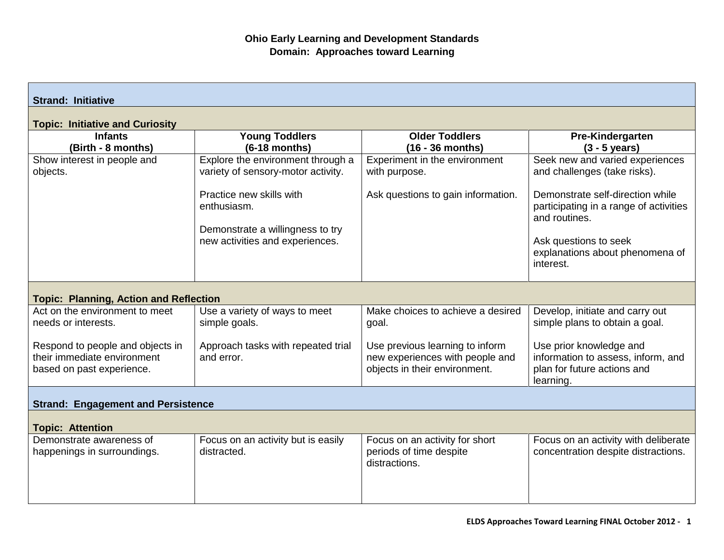| <b>Strand: Initiative</b>                                                                    |                                                                                                     |                                                                                                     |                                                                                                           |  |  |
|----------------------------------------------------------------------------------------------|-----------------------------------------------------------------------------------------------------|-----------------------------------------------------------------------------------------------------|-----------------------------------------------------------------------------------------------------------|--|--|
| <b>Topic: Initiative and Curiosity</b>                                                       |                                                                                                     |                                                                                                     |                                                                                                           |  |  |
| <b>Infants</b><br>(Birth - 8 months)                                                         | <b>Young Toddlers</b><br>$(6-18$ months)                                                            | <b>Older Toddlers</b><br>(16 - 36 months)                                                           | Pre-Kindergarten<br>$(3 - 5$ years)                                                                       |  |  |
| Show interest in people and<br>objects.                                                      | Explore the environment through a<br>variety of sensory-motor activity.<br>Practice new skills with | Experiment in the environment<br>with purpose.<br>Ask questions to gain information.                | Seek new and varied experiences<br>and challenges (take risks).<br>Demonstrate self-direction while       |  |  |
|                                                                                              | enthusiasm.<br>Demonstrate a willingness to try<br>new activities and experiences.                  |                                                                                                     | participating in a range of activities<br>and routines.                                                   |  |  |
|                                                                                              |                                                                                                     |                                                                                                     | Ask questions to seek<br>explanations about phenomena of<br>interest.                                     |  |  |
| <b>Topic: Planning, Action and Reflection</b>                                                |                                                                                                     |                                                                                                     |                                                                                                           |  |  |
| Act on the environment to meet<br>needs or interests.                                        | Use a variety of ways to meet<br>simple goals.                                                      | Make choices to achieve a desired<br>goal.                                                          | Develop, initiate and carry out<br>simple plans to obtain a goal.                                         |  |  |
| Respond to people and objects in<br>their immediate environment<br>based on past experience. | Approach tasks with repeated trial<br>and error.                                                    | Use previous learning to inform<br>new experiences with people and<br>objects in their environment. | Use prior knowledge and<br>information to assess, inform, and<br>plan for future actions and<br>learning. |  |  |
| <b>Strand: Engagement and Persistence</b>                                                    |                                                                                                     |                                                                                                     |                                                                                                           |  |  |
| <b>Topic: Attention</b>                                                                      |                                                                                                     |                                                                                                     |                                                                                                           |  |  |
| Demonstrate awareness of<br>happenings in surroundings.                                      | Focus on an activity but is easily<br>distracted.                                                   | Focus on an activity for short<br>periods of time despite<br>distractions.                          | Focus on an activity with deliberate<br>concentration despite distractions.                               |  |  |